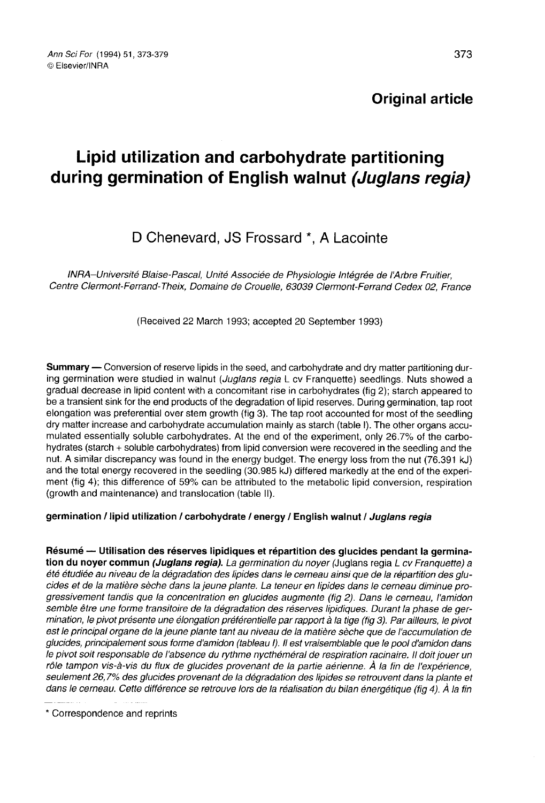# Lipid utilization and carbohydrate partitioning during germination of English walnut (Juglans regia)

# D Chenevard, JS Frossard \*, A Lacointe

INRA-Université Blaise-Pascal, Unité Associée de Physiologie Intégrée de l'Arbre Fruitier, Centre Clermont-Ferrand-Theix, Domaine de Crouelle, 63039 Clermont-Ferrand Cedex 02, France

(Received 22 March 1993; accepted 20 September 1993)

Summary - Conversion of reserve lipids in the seed, and carbohydrate and dry matter partitioning during germination were studied in walnut (Juglans regia L cv Franquette) seedlings. Nuts showed a gradual decrease in lipid content with a concomitant rise in carbohydrates (fig 2); starch appeared to be a transient sink for the end products of the degradation of lipid reserves. During germination, tap root elongation was preferential over stem growth (fig 3). The tap root accounted for most of the seedling dry matter increase and carbohydrate accumulation mainly as starch (table I). The other organs accumulated essentially soluble carbohydrates. At the end of the experiment, only 26.7% of the carbohydrates (starch + soluble carbohydrates) from lipid conversion were recovered in the seedling and the nut. A similar discrepancy was found in the energy budget. The energy loss from the nut (76.391 kJ) and the total energy recovered in the seedling (30.985 kJ) differed markedly at the end of the experiment (fig 4); this difference of 59% can be attributed to the metabolic lipid conversion, respiration (growth and maintenance) and translocation (table II).

## germination / lipid utilization / carbohydrate / energy / English walnut / Juglans regia

Résumé — Utilisation des réserves lipidiques et répartition des glucides pendant la germination du noyer commun (Juglans regia). La germination du noyer (Juglans regia L cv Franquette) a été étudiée au niveau de la dégradation des lipides dans le cerneau ainsi que de la répartition des glucides et de la matière sèche dans la jeune plante. La teneur en lipides dans le cerneau diminue progressivement tandis que la concentration en glucides augmente (fig 2). Dans le cerneau, l'amidon semble être une forme transitoire de la dégradation des réserves lipidiques. Durant la phase de germination, le pivot présente une élongation préférentielle par rapport à la tige (fig 3). Par ailleurs, le pivot est le principal organe de la jeune plante tant au niveau de la matière sèche que de l'accumulation de glucides, principalement sous forme d'amidon (tableau I). Il est vraisemblable que le pool d'amidon dans le pivot soit responsable de l'absence du rythme nycthéméral de respiration racinaire. Il doit jouer un rôle tampon vis-à-vis du flux de glucides provenant de la partie aérienne. À la fin de l'expérience, seulement 26,7% des glucides provenant de la dégradation des lipides se retrouvent dans la plante et dans le cerneau. Cette différence se retrouve lors de la réalisation du bilan énergétique (fig 4). À la fin

Correspondence and reprints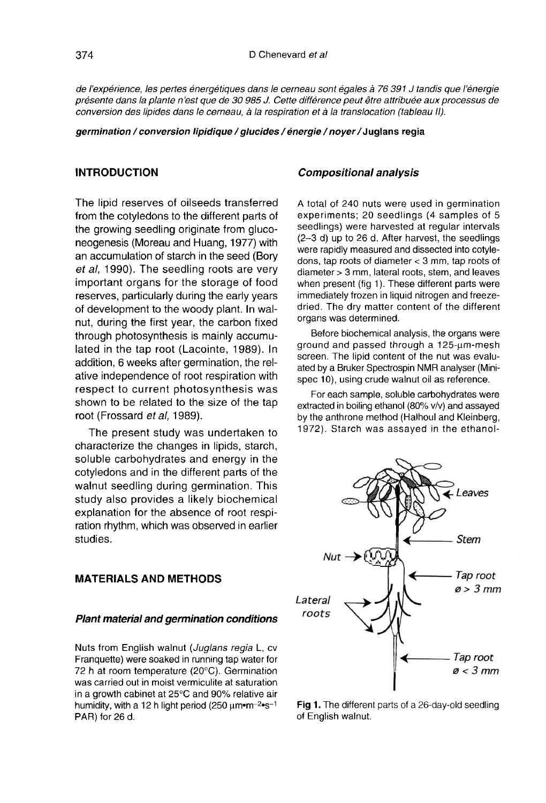de l'expérience, les pertes énergétiques dans le cerneau sont égales à 76 391 J tandis que l'énergie présente dans la plante n'est que de 30 985 J. Cette différence peut être attribuée aux processus de conversion des lipides dans le cerneau, à la respiration et à la translocation (tableau II).

#### germination / conversion lipidique / glucides / énergie / noyer /Juglans regia

#### INTRODUCTION

The lipid reserves of oilseeds transferred from the cotyledons to the different parts of the growing seedling originate from gluconeogenesis (Moreau and Huang, 1977) with an accumulation of starch in the seed (Bory et al, 1990). The seedling roots are very important organs for the storage of food reserves, particularly during the early years of development to the woody plant. In walnut, during the first year, the carbon fixed through photosynthesis is mainly accumulated in the tap root (Lacointe, 1989). In addition, 6 weeks after germination, the relative independence of root respiration with respect to current photosynthesis was shown to be related to the size of the tap root (Frossard et al, 1989).

The present study was undertaken to characterize the changes in lipids, starch, soluble carbohydrates and energy in the cotyledons and in the different parts of the walnut seedling during germination. This study also provides a likely biochemical explanation for the absence of root respiration rhythm, which was observed in earlier studies.

#### MATERIALS AND METHODS

#### Plant material and germination conditions

Nuts from English walnut (Juglans regia L, cv Franquette) were soaked in running tap water for 72 h at room temperature (20°C). Germination was carried out in moist vermiculite at saturation in a growth cabinet at 25°C and 90% relative air humidity, with a 12 h light period (250 μm•m<sup>-2</sup>•s<sup>-1</sup> PAR) for 26 d.

#### Compositional analysis

A total of 240 nuts were used in germination experiments; 20 seedlings (4 samples of 5 seedlings) were harvested at regular intervals (2-3 d) up to 26 d. After harvest, the seedlings were rapidly measured and dissected into cotyledons, tap roots of diameter < 3 mm, tap roots of diameter > 3 mm, lateral roots, stem, and leaves when present (fig 1). These different parts were immediately frozen in liquid nitrogen and freezedried. The dry matter content of the different organs was determined.

Before biochemical analysis, the organs were ground and passed through a 125-μm-mesh screen. The lipid content of the nut was evaluated by a Bruker Spectrospin NMR analyser (Minispec 10), using crude walnut oil as reference.

For each sample, soluble carbohydrates were extracted in boiling ethanol (80% v/v) and assayed by the anthrone method (Halhoul and Kleinberg, 1972). Starch was assayed in the ethanol-



Fig 1. The different parts of a 26-day-old seedling of English walnut.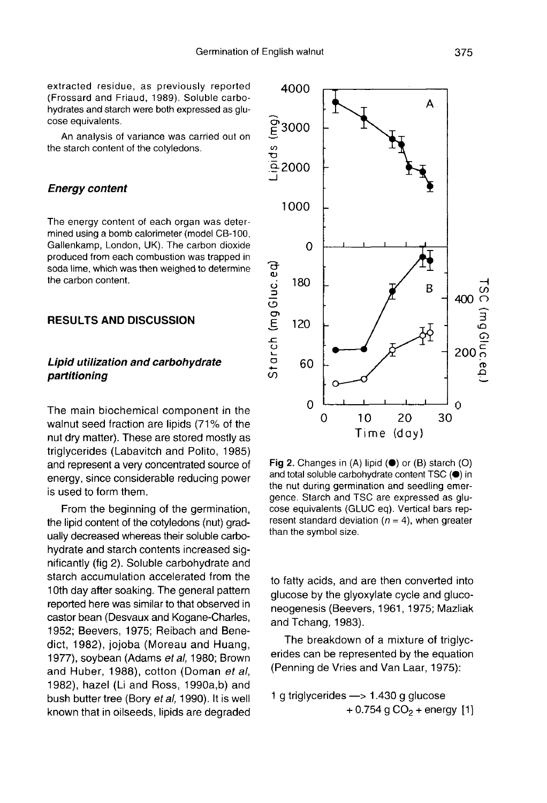extracted residue, as previously reported (Frossard and Friaud, 1989). Soluble carbohydrates and starch were both expressed as glu cose equivalents.

An analysis of variance was carried out on the starch content of the cotyledons.

## Energy content

The energy content of each organ was determined using a bomb calorimeter (model CB-100, Gallenkamp, London, UK). The carbon dioxide produced from each combustion was trapped in soda lime, which was then weighed to determine the carbon content.

#### RESULTS AND DISCUSSION

# Lipid utilization and carbohydrate partitioning

The main biochemical component in the walnut seed fraction are lipids (71% of the nut dry matter). These are stored mostly as triglycerides (Labavitch and Polito, 1985) and represent a very concentrated source of energy, since considerable reducing power is used to form them.

From the beginning of the germination, the lipid content of the cotyledons (nut) gradually decreased whereas their soluble carbohydrate and starch contents increased significantly (fig 2). Soluble carbohydrate and starch accumulation accelerated from the 10th day after soaking. The general pattern reported here was similar to that observed in castor bean (Desvaux and Kogane-Charles, 1952; Beevers, 1975; Reibach and Benedict, 1982), jojoba (Moreau and Huang, 1977), soybean (Adams et al, 1980; Brown and Huber, 1988), cotton (Doman et al, 1982), hazel (Li and Ross, 1990a,b) and bush butter tree (Bory et al, 1990). It is well known that in oilseeds, lipids are degraded



Fig 2. Changes in  $(A)$  lipid  $(\bigcirc)$  or  $(B)$  starch  $(O)$ and total soluble carbohydrate content TSC  $(①)$  in the nut during germination and seedling emergence. Starch and TSC are expressed as glu cose equivalents (GLUC eq). Vertical bars represent standard deviation ( $n = 4$ ), when greater than the symbol size.

to fatty acids, and are then converted into glucose by the glyoxylate cycle and gluconeogenesis (Beevers, 1961, 1975; Mazliak and Tchang, 1983).

The breakdown of a mixture of triglycerides can be represented by the equation (Penning de Vries and Van Laar, 1975):

1 g triglycerides  $\longrightarrow$  1.430 g glucose  $+0.754$  g CO<sub>2</sub> + energy [1]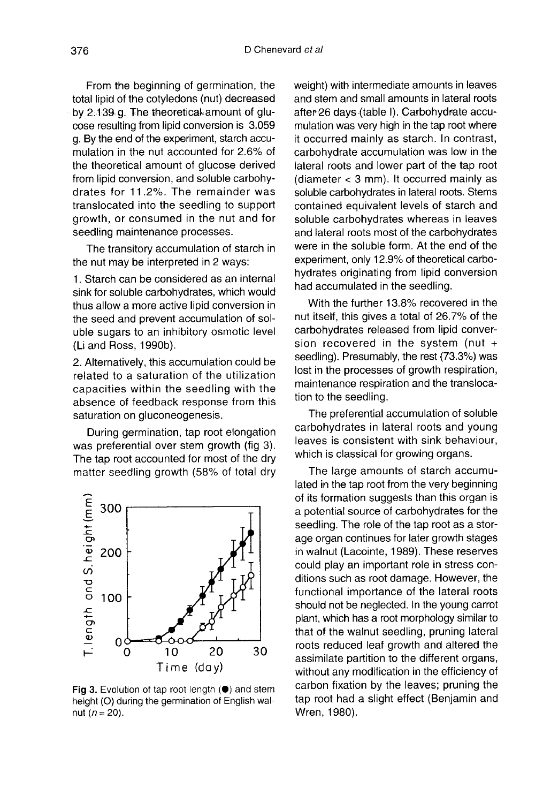From the beginning of germination, the total lipid of the cotyledons (nut) decreased by 2.139 g. The theoretical amount of glu cose resulting from lipid conversion is 3.059 g. By the end of the experiment, starch accumulation in the nut accounted for 2.6% of the theoretical amount of glucose derived from lipid conversion, and soluble carbohydrates for 11.2%. The remainder was translocated into the seedling to support growth, or consumed in the nut and for seedling maintenance processes.

The transitory accumulation of starch in the nut may be interpreted in 2 ways:

1. Starch can be considered as an internal sink for soluble carbohydrates, which would thus allow a more active lipid conversion in the seed and prevent accumulation of soluble sugars to an inhibitory osmotic level (Li and Ross, 1990b).

2. Alternatively, this accumulation could be related to a saturation of the utilization capacities within the seedling with the absence of feedback response from this saturation on gluconeogenesis.

During germination, tap root elongation was preferential over stem growth (fig 3). The tap root accounted for most of the dry matter seedling growth (58% of total dry



Fig 3. Evolution of tap root length (.) and stem height (O) during the germination of English walnut ( $n = 20$ ).

weight) with intermediate amounts in leaves and stem and small amounts in lateral roots after 26 days (table I). Carbohydrate accumulation was very high in the tap root where it occurred mainly as starch. In contrast, carbohydrate accumulation was low in the lateral roots and lower part of the tap root (diameter < 3 mm). It occurred mainly as soluble carbohydrates in lateral roots. Stems contained equivalent levels of starch and soluble carbohydrates whereas in leaves and lateral roots most of the carbohydrates were in the soluble form. At the end of the experiment, only 12.9% of theoretical carbohydrates originating from lipid conversion had accumulated in the seedling.

With the further 13.8% recovered in the nut itself, this gives a total of 26.7% of the carbohydrates released from lipid conversion recovered in the system (nut + seedling). Presumably, the rest (73.3%) was lost in the processes of growth respiration, maintenance respiration and the translocation to the seedling.

The preferential accumulation of soluble carbohydrates in lateral roots and young leaves is consistent with sink behaviour, which is classical for growing organs.

The large amounts of starch accumulated in the tap root from the very beginning of its formation suggests than this organ is a potential source of carbohydrates for the seedling. The role of the tap root as a storage organ continues for later growth stages in walnut (Lacointe, 1989). These reserves could play an important role in stress conditions such as root damage. However, the functional importance of the lateral roots should not be neglected. In the young carrot plant, which has a root morphology similar to that of the walnut seedling, pruning lateral roots reduced leaf growth and altered the assimilate partition to the different organs, without any modification in the efficiency of carbon fixation by the leaves; pruning the tap root had a slight effect (Benjamin and Wren, 1980).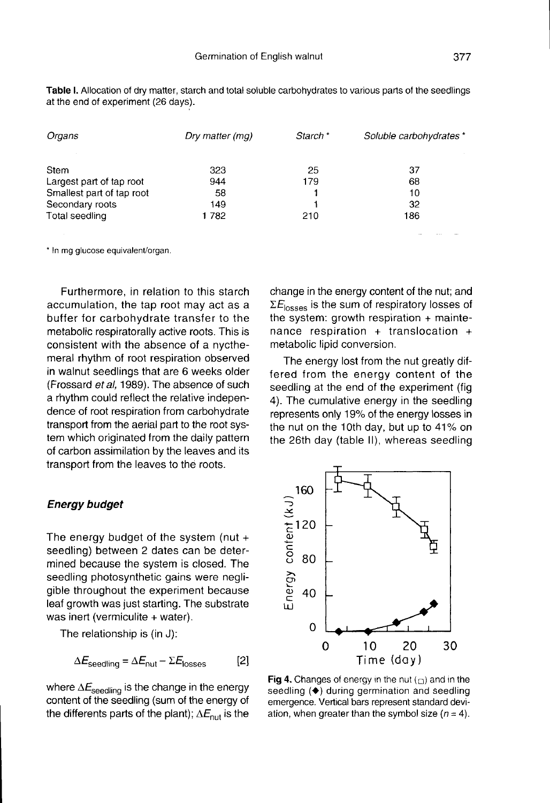| Organs                    | Dry matter (mg) | Starch <sup>*</sup> | Soluble carbohydrates * |
|---------------------------|-----------------|---------------------|-------------------------|
| Stem                      | 323             | 25                  | 37                      |
| Largest part of tap root  | 944             | 179                 | 68                      |
| Smallest part of tap root | 58              |                     | 10                      |
| Secondary roots           | 149             |                     | 32                      |
| Total seedling            | 1782            | 210                 | 186                     |

Table I. Allocation of dry matter, starch and total soluble carbohydrates to various parts of the seedlings at the end of experiment (26 days).

\* In mg glucose equivalent/organ.

Furthermore, in relation to this starch accumulation, the tap root may act as a buffer for carbohydrate transfer to the metabolic respiratorally active roots. This is consistent with the absence of a nycthemeral rhythm of root respiration observed in walnut seedlings that are 6 weeks older (Frossard et al, 1989). The absence of such a rhythm could reflect the relative independence of root respiration from carbohydrate transport from the aerial part to the root system which originated from the daily pattern of carbon assimilation by the leaves and its transport from the leaves to the roots.

#### Energy budget

The energy budget of the system (nut  $+$ seedling) between 2 dates can be determined because the system is closed. The seedling photosynthetic gains were negligible throughout the experiment because leaf growth was just starting. The substrate was inert (vermiculite + water).

The relationship is (in J):

$$
\Delta E_{\text{seedling}} = \Delta E_{\text{nut}} - \Sigma E_{\text{losses}} \tag{2}
$$

where  $\Delta E_{\text{seeding}}$  is the change in the energy content of the seedling (sum of the energy of the differents parts of the plant);  $\Delta E_{\text{nut}}$  is the change in the energy content of the nut; and  $\Sigma E$ <sub>losses</sub> is the sum of respiratory losses of the system: growth respiration + maintenance respiration + translocation + metabolic lipid conversion.

The energy lost from the nut greatly differed from the energy content of the seedling at the end of the experiment (fig 4). The cumulative energy in the seedling represents only 19% of the energy losses in the nut on the 10th day, but up to  $41\%$  on the 26th day (table II), whereas seedling



Fig 4. Changes of energy in the nut  $\Box$ ) and in the seedling ( $\blacklozenge$ ) during germination and seedling emergence. Vertical bars represent standard deviation, when greater than the symbol size  $(n = 4)$ .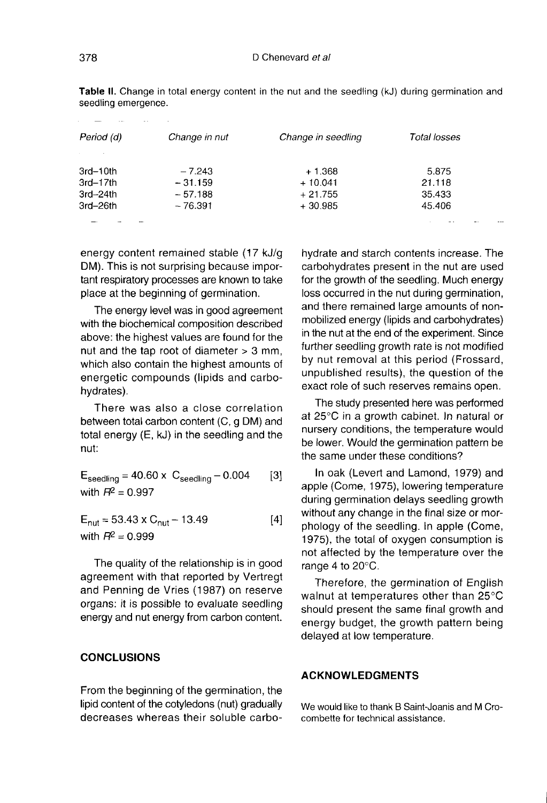| Period (d)                                                       | Change in nut          | Change in seedling     | Total losses     |
|------------------------------------------------------------------|------------------------|------------------------|------------------|
| <b>COLLA</b><br>the control of the<br>$3rd - 10th$<br>$3rd-17th$ | $-7.243$<br>$-31.159$  | $+1.368$<br>$+10.041$  | 5.875<br>21.118  |
| $3rd - 24th$<br>3rd-26th                                         | $-57.188$<br>$-76.391$ | $+21.755$<br>$+30.985$ | 35.433<br>45.406 |
|                                                                  |                        |                        |                  |

Table II. Change in total energy content in the nut and the seedling (kJ) during germination and seedling emergence.

energy content remained stable (17 kJ/g DM). This is not surprising because important respiratory processes are known to take place at the beginning of germination.

The energy level was in good agreement with the biochemical composition described above: the highest values are found for the nut and the tap root of diameter > 3 mm, which also contain the highest amounts of energetic compounds (lipids and carbohydrates).

There was also a close correlation between total carbon content (C, g DM) and total energy (E, kJ) in the seedling and the nut:

 $E_{\text{seedling}} = 40.60 \times C_{\text{seedling}} - 0.004$  $\lceil 3 \rceil$ with  $H^2 = 0.997$ 

 $E_{\text{nut}}$  = 53.43 x  $C_{\text{nut}}$  – 13.49  $[4]$ with  $H^2 = 0.999$ 

The quality of the relationship is in good agreement with that reported by Vertregt and Penning de Vries (1987) on reserve organs: it is possible to evaluate seedling energy and nut energy from carbon content.

#### **CONCLUSIONS**

From the beginning of the germination, the lipid content of the cotyledons (nut) gradually decreases whereas their soluble carbohydrate and starch contents increase. The carbohydrates present in the nut are used for the growth of the seedling. Much energy loss occurred in the nut during germination, and there remained large amounts of nonmobilized energy (lipids and carbohydrates) in the nut at the end of the experiment. Since further seedling growth rate is not modified by nut removal at this period (Frossard, unpublished results), the question of the exact role of such reserves remains open.

The study presented here was performed at 25°C in a growth cabinet. In natural or nursery conditions, the temperature would be lower. Would the germination pattern be the same under these conditions?

In oak (Levert and Lamond, 1979) and apple (Come, 1975), lowering temperature during germination delays seedling growth without any change in the final size or morphology of the seedling. In apple (Come, 1975), the total of oxygen consumption is not affected by the temperature over the range 4 to 20°C.

Therefore, the germination of English walnut at temperatures other than 25°C should present the same final growth and energy budget, the growth pattern being delayed at low temperature.

#### ACKNOWLEDGMENTS

We would like to thank B Saint-Joanis and M Crocombette for technical assistance.